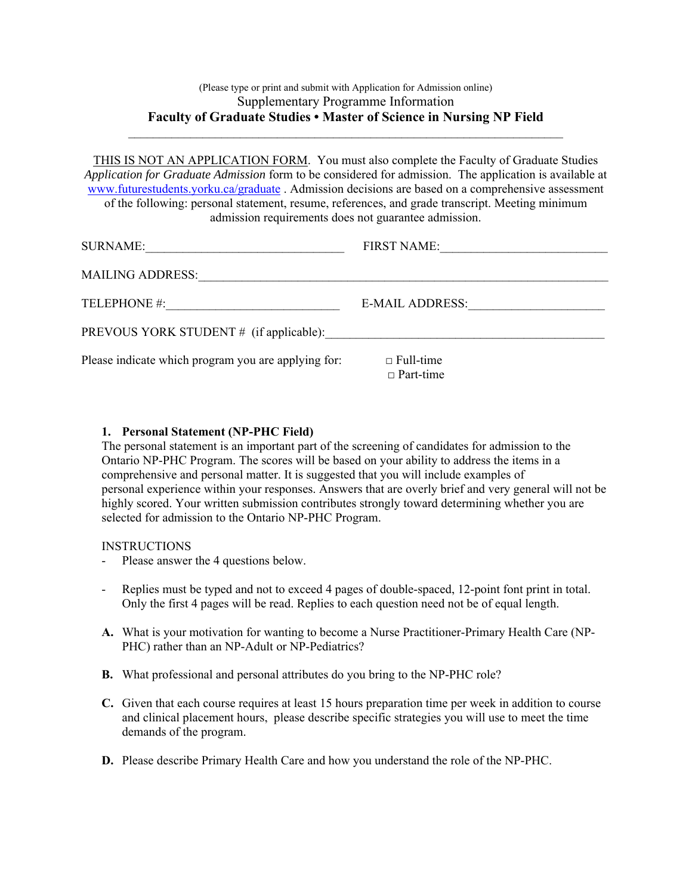# (Please type or print and submit with Application for Admission online) Supplementary Programme Information **Faculty of Graduate Studies • Master of Science in Nursing NP Field**

\_\_\_\_\_\_\_\_\_\_\_\_\_\_\_\_\_\_\_\_\_\_\_\_\_\_\_\_\_\_\_\_\_\_\_\_\_\_\_\_\_\_\_\_\_\_\_\_\_\_\_\_\_\_\_\_\_\_\_\_\_\_\_\_\_\_\_\_\_\_

THIS IS NOT AN APPLICATION FORM. You must also complete the Faculty of Graduate Studies *Application for Graduate Admission* form to be considered for admission. The application is available at www.futurestudents.yorku.ca/graduate . Admission decisions are based on a comprehensive assessment of the following: personal statement, resume, references, and grade transcript. Meeting minimum admission requirements does not guarantee admission.

| <b>SURNAME:</b>                                     | FIRST NAME:                          |
|-----------------------------------------------------|--------------------------------------|
| <b>MAILING ADDRESS:</b>                             |                                      |
| TELEPHONE #:                                        | E-MAIL ADDRESS:                      |
| PREVOUS YORK STUDENT # (if applicable):             |                                      |
| Please indicate which program you are applying for: | $\Box$ Full-time<br>$\Box$ Part-time |

## **1. Personal Statement (NP-PHC Field)**

The personal statement is an important part of the screening of candidates for admission to the Ontario NP-PHC Program. The scores will be based on your ability to address the items in a comprehensive and personal matter. It is suggested that you will include examples of personal experience within your responses. Answers that are overly brief and very general will not be highly scored. Your written submission contributes strongly toward determining whether you are selected for admission to the Ontario NP-PHC Program.

## **INSTRUCTIONS**

- Please answer the 4 questions below.
- Replies must be typed and not to exceed 4 pages of double-spaced, 12-point font print in total. Only the first 4 pages will be read. Replies to each question need not be of equal length.
- **A.** What is your motivation for wanting to become a Nurse Practitioner-Primary Health Care (NP-PHC) rather than an NP-Adult or NP-Pediatrics?
- **B.** What professional and personal attributes do you bring to the NP-PHC role?
- **C.** Given that each course requires at least 15 hours preparation time per week in addition to course and clinical placement hours, please describe specific strategies you will use to meet the time demands of the program.
- **D.** Please describe Primary Health Care and how you understand the role of the NP-PHC.